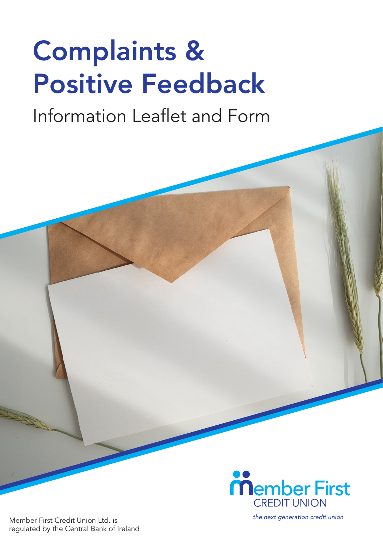# Complaints & Positive Feedback

# Information Leaflet and Form



Member First Credit Union Ltd. is regulated by the Central Bank of Ireland *the next generation credit union*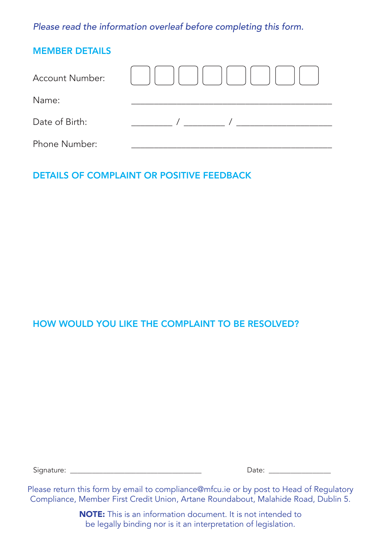*Please read the information overleaf before completing this form.*

| <b>MEMBER DETAILS</b> |  |
|-----------------------|--|
| Account Number:       |  |
| Name:                 |  |
| Date of Birth:        |  |
| Phone Number:         |  |

## DETAILS OF COMPLAINT OR POSITIVE FEEDBACK

#### HOW WOULD YOU LIKE THE COMPLAINT TO BE RESOLVED?

Signature: \_\_\_\_\_\_\_\_\_\_\_\_\_\_\_\_\_\_\_\_\_\_\_\_\_\_\_\_\_\_\_\_\_\_\_\_ Date: \_\_\_\_\_\_\_\_\_\_\_\_\_\_\_\_\_

Please return this form by email to compliance@mfcu.ie or by post to Head of Regulatory Compliance, Member First Credit Union, Artane Roundabout, Malahide Road, Dublin 5.

> NOTE: This is an information document. It is not intended to be legally binding nor is it an interpretation of legislation.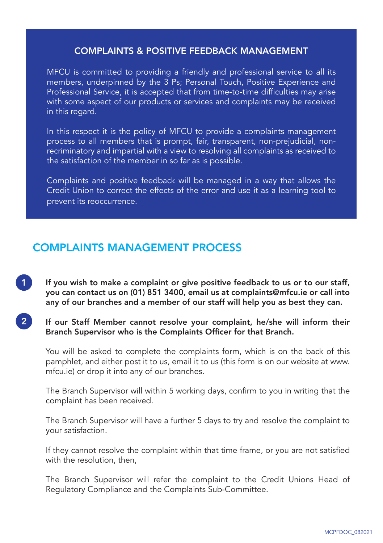#### COMPLAINTS & POSITIVE FEEDBACK MANAGEMENT

MFCU is committed to providing a friendly and professional service to all its members, underpinned by the 3 Ps; Personal Touch, Positive Experience and Professional Service, it is accepted that from time-to-time difficulties may arise with some aspect  $\sigma$ <sup>T</sup> our products or services and complaints may be received in this regard.

In this respect it is the policy of MFCU to provide a complaints management process to all members that is prompt, fair, transparent, non-prejudicial, nonrecriminatory and impartial with a view to resolving all complaints as received to the satisfaction of the member in so far as is possible.

Complaints and positive feedback will be managed in a way that allows the Credit Union to correct the effects of the error and use it as a learning tool to prevent its reoccurrence.

## COMPLAINTS MANAGEMENT PROCESS

If you wish to make a complaint or give positive feedback to us or to our staff, you can contact us on (01) 851 3400, email us at complaints@mfcu.ie or call into any of our branches and a member of our staff will help you as best they can. 1

#### If our Staff Member cannot resolve your complaint, he/she will inform their Branch Supervisor who is the Complaints Officer for that Branch. 2

You will be asked to complete the complaints form, which is on the back of this pamphlet, and either post it to us, email it to us (this form is on our website at www. mfcu.ie) or drop it into any of our branches.

The Branch Supervisor will within 5 working days, confirm to you in writing that the complaint has been received.

The Branch Supervisor will have a further 5 days to try and resolve the complaint to your satisfaction.

If they cannot resolve the complaint within that time frame, or you are not satisfied with the resolution, then,

The Branch Supervisor will refer the complaint to the Credit Unions Head of Regulatory Compliance and the Complaints Sub-Committee.